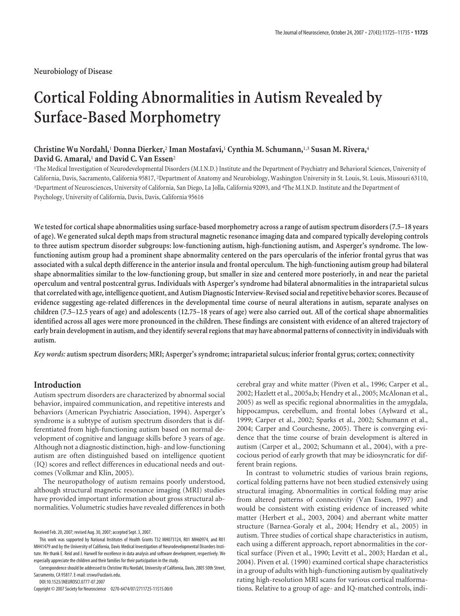# **Cortical Folding Abnormalities in Autism Revealed by Surface-Based Morphometry**

# **Christine Wu Nordahl,**<sup>1</sup> **Donna Dierker,**<sup>2</sup> **Iman Mostafavi,**<sup>1</sup> **Cynthia M. Schumann,**1,3 **Susan M. Rivera,**<sup>4</sup> **David G. Amaral,**<sup>1</sup> **and David C. Van Essen**<sup>2</sup>

1 The Medical Investigation of Neurodevelopmental Disorders (M.I.N.D.) Institute and the Department of Psychiatry and Behavioral Sciences, University of California, Davis, Sacramento, California 95817, <sup>2</sup> Department of Anatomy and Neurobiology, Washington University in St. Louis, St. Louis, Missouri 63110, 3 Department of Neurosciences, University of California, San Diego, La Jolla, California 92093, and <sup>4</sup> The M.I.N.D. Institute and the Department of Psychology, University of California, Davis, Davis, California 95616

**We tested for cortical shape abnormalities using surface-based morphometry across a range of autism spectrum disorders (7.5–18 years of age). We generated sulcal depth maps from structural magnetic resonance imaging data and compared typically developing controls to three autism spectrum disorder subgroups: low-functioning autism, high-functioning autism, and Asperger's syndrome. The lowfunctioning autism group had a prominent shape abnormality centered on the pars opercularis of the inferior frontal gyrus that was associated with a sulcal depth difference in the anterior insula and frontal operculum. The high-functioning autism group had bilateral shape abnormalities similar to the low-functioning group, but smaller in size and centered more posteriorly, in and near the parietal operculum and ventral postcentral gyrus. Individuals with Asperger's syndrome had bilateral abnormalities in the intraparietal sulcus that correlated with age, intelligence quotient, and Autism Diagnostic Interview-Revised social and repetitive behavior scores. Because of evidence suggesting age-related differences in the developmental time course of neural alterations in autism, separate analyses on children (7.5–12.5 years of age) and adolescents (12.75–18 years of age) were also carried out. All of the cortical shape abnormalities identified across all ages were more pronounced in the children. These findings are consistent with evidence of an altered trajectory of early brain development in autism, and they identify several regions that may have abnormal patterns of connectivity in individuals with autism.**

*Key words:* **autism spectrum disorders; MRI; Asperger's syndrome; intraparietal sulcus; inferior frontal gyrus; cortex; connectivity**

# **Introduction**

Autism spectrum disorders are characterized by abnormal social behavior, impaired communication, and repetitive interests and behaviors (American Psychiatric Association, 1994). Asperger's syndrome is a subtype of autism spectrum disorders that is differentiated from high-functioning autism based on normal development of cognitive and language skills before 3 years of age. Although not a diagnostic distinction, high- and low-functioning autism are often distinguished based on intelligence quotient (IQ) scores and reflect differences in educational needs and outcomes (Volkmar and Klin, 2005).

The neuropathology of autism remains poorly understood, although structural magnetic resonance imaging (MRI) studies have provided important information about gross structural abnormalities. Volumetric studies have revealed differences in both

DOI:10.1523/JNEUROSCI.0777-07.2007

Copyright © 2007 Society for Neuroscience 0270-6474/07/2711725-11\$15.00/0

cerebral gray and white matter (Piven et al., 1996; Carper et al., 2002; Hazlett et al., 2005a,b; Hendry et al., 2005; McAlonan et al., 2005) as well as specific regional abnormalities in the amygdala, hippocampus, cerebellum, and frontal lobes (Aylward et al., 1999; Carper et al., 2002; Sparks et al., 2002; Schumann et al., 2004; Carper and Courchesne, 2005). There is converging evidence that the time course of brain development is altered in autism (Carper et al., 2002; Schumann et al., 2004), with a precocious period of early growth that may be idiosyncratic for different brain regions.

In contrast to volumetric studies of various brain regions, cortical folding patterns have not been studied extensively using structural imaging. Abnormalities in cortical folding may arise from altered patterns of connectivity (Van Essen, 1997) and would be consistent with existing evidence of increased white matter (Herbert et al., 2003, 2004) and aberrant white matter structure (Barnea-Goraly et al., 2004; Hendry et al., 2005) in autism. Three studies of cortical shape characteristics in autism, each using a different approach, report abnormalities in the cortical surface (Piven et al., 1990; Levitt et al., 2003; Hardan et al., 2004). Piven et al. (1990) examined cortical shape characteristics in a group of adults with high-functioning autism by qualitatively rating high-resolution MRI scans for various cortical malformations. Relative to a group of age- and IQ-matched controls, indi-

Received Feb. 20, 2007; revised Aug. 30, 2007; accepted Sept. 3, 2007.

This work was supported by National Institutes of Health Grants T32 MH073124, R01 MH60974, and R01 MH41479 and by the University of California, Davis Medical Investigation of Neurodevelopmental Disorders Institute. We thank E. Reid and J. Harwell for excellence in data analysis and software development, respectively. We especially appreciate the children and their families for their participation in the study.

Correspondence should be addressed to Christine Wu Nordahl, University of California, Davis, 2805 50th Street, Sacramento, CA 95817. E-mail: crswu@ucdavis.edu.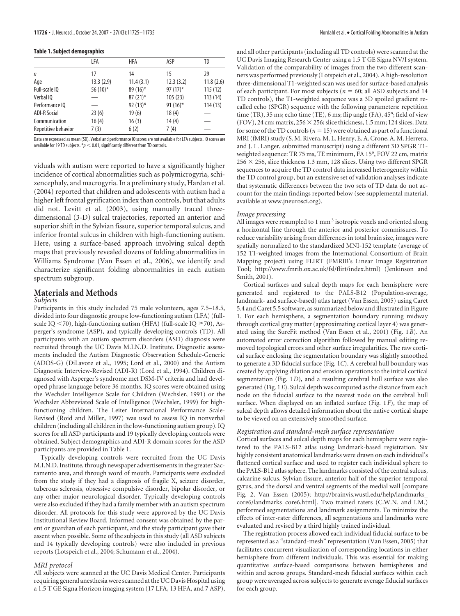#### **Table 1. Subject demographics**

|                     | LFA       | <b>HFA</b> | ASP         | TD        |
|---------------------|-----------|------------|-------------|-----------|
| n                   | 17        | 14         | 15          | 29        |
| Age                 | 13.3(2.9) | 11.4(3.1)  | 12.3(3.2)   | 11.8(2.6) |
| Full-scale IQ       | 56 (10)*  | 89 (16)*   | 97 $(17)^*$ | 115(12)   |
| Verbal IO           |           | $87(21)$ * | 105(23)     | 113 (14)  |
| Performance IQ      |           | $92(13)*$  | $91(16)*$   | 114(13)   |
| <b>ADI-R Social</b> | 23(6)     | 19(6)      | 18(4)       |           |
| Communication       | 16(4)     | 16(3)      | 14(4)       |           |
| Repetitive behavior | 7(3)      | 6(2)       | 7(4)        |           |

Data are expressed as mean (SD). Verbal and performance IQ scores are not available for LFA subjects. IQ scores are available for 19 TD subjects.  $*_p$  < 0.01, significantly different from TD controls.

viduals with autism were reported to have a significantly higher incidence of cortical abnormalities such as polymicrogyria, schizencephaly, and macrogyria. In a preliminary study, Hardan et al. (2004) reported that children and adolescents with autism had a higher left frontal gyrification index than controls, but that adults did not. Levitt et al. (2003), using manually traced threedimensional (3-D) sulcal trajectories, reported an anterior and superior shift in the Sylvian fissure, superior temporal sulcus, and inferior frontal sulcus in children with high-functioning autism. Here, using a surface-based approach involving sulcal depth maps that previously revealed dozens of folding abnormalities in Williams Syndrome (Van Essen et al., 2006), we identify and characterize significant folding abnormalities in each autism spectrum subgroup.

# **Materials and Methods**

#### *Subjects*

Participants in this study included 75 male volunteers, ages 7.5–18.5, divided into four diagnostic groups: low-functioning autism (LFA) (fullscale IQ <70), high-functioning autism (HFA) (full-scale IQ  $\geq$ 70), Asperger's syndrome (ASP), and typically developing controls (TD). All participants with an autism spectrum disorders (ASD) diagnosis were recruited through the UC Davis M.I.N.D. Institute. Diagnostic assessments included the Autism Diagnostic Observation Schedule-Generic (ADOS-G) (DiLavore et al., 1995; Lord et al., 2000) and the Autism Diagnostic Interview-Revised (ADI-R) (Lord et al., 1994). Children diagnosed with Asperger's syndrome met DSM-IV criteria and had developed phrase language before 36 months. IQ scores were obtained using the Wechsler Intelligence Scale for Children (Wechsler, 1991) or the Wechsler Abbreviated Scale of Intelligence (Wechsler, 1999) for highfunctioning children. The Leiter International Performance Scale-Revised (Roid and Miller, 1997) was used to assess IQ in nonverbal children (including all children in the low-functioning autism group). IQ scores for all ASD participants and 19 typically developing controls were obtained. Subject demographics and ADI-R domain scores for the ASD participants are provided in Table 1.

Typically developing controls were recruited from the UC Davis M.I.N.D. Institute, through newspaper advertisements in the greater Sacramento area, and through word of mouth. Participants were excluded from the study if they had a diagnosis of fragile X, seizure disorder, tuberous sclerosis, obsessive compulsive disorder, bipolar disorder, or any other major neurological disorder. Typically developing controls were also excluded if they had a family member with an autism spectrum disorder. All protocols for this study were approved by the UC Davis Institutional Review Board. Informed consent was obtained by the parent or guardian of each participant, and the study participant gave their assent when possible. Some of the subjects in this study (all ASD subjects and 14 typically developing controls) were also included in previous reports (Lotspeich et al., 2004; Schumann et al., 2004).

#### *MRI protocol*

All subjects were scanned at the UC Davis Medical Center. Participants requiring general anesthesia were scanned at the UC Davis Hospital using a 1.5 T GE Signa Horizon imaging system (17 LFA, 13 HFA, and 7 ASP), and all other participants (including all TD controls) were scanned at the UC Davis Imaging Research Center using a 1.5 T GE Signa NV/I system. Validation of the comparability of images from the two different scanners was performed previously (Lotspeich et al., 2004). A high-resolution three-dimensional T1-weighted scan was used for surface-based analysis of each participant. For most subjects ( $n = 60$ ; all ASD subjects and 14 TD controls), the T1-weighted sequence was a 3D spoiled gradient recalled echo (SPGR) sequence with the following parameters: repetition time (TR), 35 ms; echo time (TE), 6 ms; flip angle (FA), 45°; field of view (FOV), 24 cm; matrix, 256  $\times$  256; slice thickness, 1.5 mm; 124 slices. Data for some of the TD controls ( $n = 15$ ) were obtained as part of a functional MRI (fMRI) study (S. M. Rivera, M. L. Henry, E. A. Crone, A. M. Herrera, and J. L. Langer, submitted manuscript) using a different 3D SPGR T1 weighted sequence: TR 75 ms, TE minimum, FA 15°, FOV 22 cm, matrix  $256 \times 256$ , slice thickness 1.3 mm, 128 slices. Using two different SPGR sequences to acquire the TD control data increased heterogeneity within the TD control group, but an extensive set of validation analyses indicate that systematic differences between the two sets of TD data do not account for the main findings reported below (see supplemental material, available at www.jneurosci.org).

#### *Image processing*

All images were resampled to 1 mm<sup>3</sup> isotropic voxels and oriented along a horizontal line through the anterior and posterior commissures. To reduce variability arising from differences in total brain size, images were spatially normalized to the standardized MNI-152 template (average of 152 T1-weighted images from the International Consortium of Brain Mapping project) using FLIRT (FMRIB's Linear Image Registration Tool; http://www.fmrib.ox.ac.uk/fsl/flirt/index.html) (Jenkinson and Smith, 2001).

Cortical surfaces and sulcal depth maps for each hemisphere were generated and registered to the PALS-B12 (Population-average, landmark- and surface-based) atlas target (Van Essen, 2005) using Caret 5.4 and Caret 5.5 software, as summarized below and illustrated in Figure 1. For each hemisphere, a segmentation boundary running midway through cortical gray matter (approximating cortical layer 4) was generated using the SureFit method (Van Essen et al., 2001) (Fig. 1*B*). An automated error correction algorithm followed by manual editing removed topological errors and other surface irregularities. The raw cortical surface enclosing the segmentation boundary was slightly smoothed to generate a 3D fiducial surface (Fig. 1*C*). A cerebral hull boundary was created by applying dilation and erosion operations to the initial cortical segmentation (Fig. 1*D*), and a resulting cerebral hull surface was also generated (Fig. 1*E*). Sulcal depth was computed as the distance from each node on the fiducial surface to the nearest node on the cerebral hull surface. When displayed on an inflated surface (Fig. 1*F*), the map of sulcal depth allows detailed information about the native cortical shape to be viewed on an extensively smoothed surface.

## *Registration and standard-mesh surface representation*

Cortical surfaces and sulcal depth maps for each hemisphere were registered to the PALS-B12 atlas using landmark-based registration. Six highly consistent anatomical landmarks were drawn on each individual's flattened cortical surface and used to register each individual sphere to the PALS-B12 atlas sphere. The landmarks consisted of the central sulcus, calcarine sulcus, Sylvian fissure, anterior half of the superior temporal gyrus, and the dorsal and ventral segments of the medial wall [compare Fig. 2, Van Essen (2005); http://brainvis.wustl.edu/help/landmarks\_ core6/landmarks\_core6.html]. Two trained raters (C.W.N. and I.M.) performed segmentations and landmark assignments. To minimize the effects of inter-rater differences, all segmentations and landmarks were evaluated and revised by a third highly trained individual.

The registration process allowed each individual fiducial surface to be represented as a "standard-mesh" representation (Van Essen, 2005) that facilitates concurrent visualization of corresponding locations in either hemisphere from different individuals. This was essential for making quantitative surface-based comparisons between hemispheres and within and across groups. Standard-mesh fiducial surfaces within each group were averaged across subjects to generate average fiducial surfaces for each group.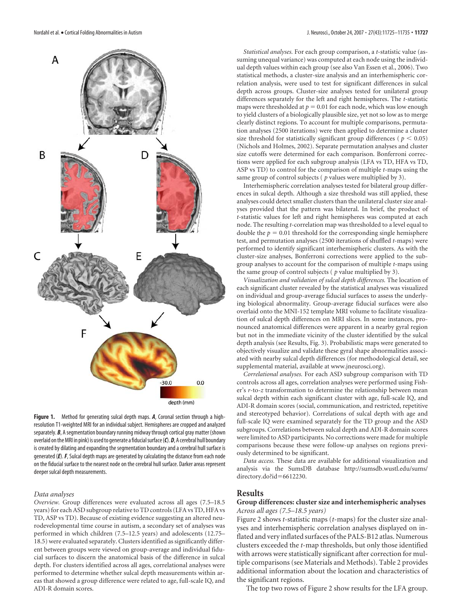

**Figure 1.** Method for generating sulcal depth maps. *A*, Coronal section through a highresolution T1-weighted MRI for an individual subject. Hemispheres are cropped and analyzed separately. **B**, A segmentation boundary running midway through cortical gray matter (shown overlaid on the MRI in pink) is used to generate a fiducial surface (C). D, A cerebral hull boundary is created by dilating and expanding the segmentation boundary and a cerebral hull surface is generated (*E*).*F*, Sulcal depth maps are generated by calculating the distance from each node on the fiducial surface to the nearest node on the cerebral hull surface. Darker areas represent deeper sulcal depth measurements.

#### *Data analyses*

*Overview.* Group differences were evaluated across all ages (7.5–18.5 years) for each ASD subgroup relative to TD controls (LFA vs TD, HFA vs TD, ASP vs TD). Because of existing evidence suggesting an altered neurodevelopmental time course in autism, a secondary set of analyses was performed in which children (7.5–12.5 years) and adolescents (12.75– 18.5) were evaluated separately. Clusters identified as significantly different between groups were viewed on group-average and individual fiducial surfaces to discern the anatomical basis of the difference in sulcal depth. For clusters identified across all ages, correlational analyses were performed to determine whether sulcal depth measurements within areas that showed a group difference were related to age, full-scale IQ, and ADI-R domain scores.

*Statistical analyses.* For each group comparison, a *t*-statistic value (assuming unequal variance) was computed at each node using the individual depth values within each group (see also Van Essen et al., 2006). Two statistical methods, a cluster-size analysis and an interhemispheric correlation analysis, were used to test for significant differences in sulcal depth across groups. Cluster-size analyses tested for unilateral group differences separately for the left and right hemispheres. The *t*-statistic maps were thresholded at  $p = 0.01$  for each node, which was low enough to yield clusters of a biologically plausible size, yet not so low as to merge clearly distinct regions. To account for multiple comparisons, permutation analyses (2500 iterations) were then applied to determine a cluster size threshold for statistically significant group differences ( $p < 0.05$ ) (Nichols and Holmes, 2002). Separate permutation analyses and cluster size cutoffs were determined for each comparison. Bonferroni corrections were applied for each subgroup analysis (LFA vs TD, HFA vs TD, ASP vs TD) to control for the comparison of multiple *t*-maps using the same group of control subjects ( *p* values were multiplied by 3).

Interhemispheric correlation analyses tested for bilateral group differences in sulcal depth. Although a size threshold was still applied, these analyses could detect smaller clusters than the unilateral cluster size analyses provided that the pattern was bilateral. In brief, the product of *t*-statistic values for left and right hemispheres was computed at each node. The resulting *t*-correlation map was thresholded to a level equal to double the  $p = 0.01$  threshold for the corresponding single hemisphere test, and permutation analyses (2500 iterations of shuffled *t*-maps) were performed to identify significant interhemispheric clusters. As with the cluster-size analyses, Bonferroni corrections were applied to the subgroup analyses to account for the comparison of multiple *t*-maps using the same group of control subjects ( *p* value multiplied by 3).

*Visualization and validation of sulcal depth differences.* The location of each significant cluster revealed by the statistical analyses was visualized on individual and group-average fiducial surfaces to assess the underlying biological abnormality. Group-average fiducial surfaces were also overlaid onto the MNI-152 template MRI volume to facilitate visualization of sulcal depth differences on MRI slices. In some instances, pronounced anatomical differences were apparent in a nearby gyral region but not in the immediate vicinity of the cluster identified by the sulcal depth analysis (see Results, Fig. 3). Probabilistic maps were generated to objectively visualize and validate these gyral shape abnormalities associated with nearby sulcal depth differences (for methodological detail, see supplemental material, available at www.jneurosci.org).

*Correlational analyses.* For each ASD subgroup comparison with TD controls across all ages, correlation analyses were performed using Fisher's *r*-to-*z* transformation to determine the relationship between mean sulcal depth within each significant cluster with age, full-scale IQ, and ADI-R domain scores (social, communication, and restricted, repetitive and stereotyped behavior). Correlations of sulcal depth with age and full-scale IQ were examined separately for the TD group and the ASD subgroups. Correlations between sulcal depth and ADI-R domain scores were limited to ASD participants. No corrections were made for multiple comparisons because these were follow-up analyses on regions previously determined to be significant.

*Data access.* These data are available for additional visualization and analysis via the SumsDB database http://sumsdb.wustl.edu/sums/ directory.do?id-6612230.

# **Results**

## **Group differences: cluster size and interhemispheric analyses** *Across all ages (7.5–18.5 years)*

Figure 2 shows *t*-statistic maps (*t*-maps) for the cluster size analyses and interhemispheric correlation analyses displayed on inflated and very inflated surfaces of the PALS-B12 atlas. Numerous clusters exceeded the *t*-map thresholds, but only those identified with arrows were statistically significant after correction for multiple comparisons (see Materials and Methods). Table 2 provides additional information about the location and characteristics of the significant regions.

The top two rows of Figure 2 show results for the LFA group.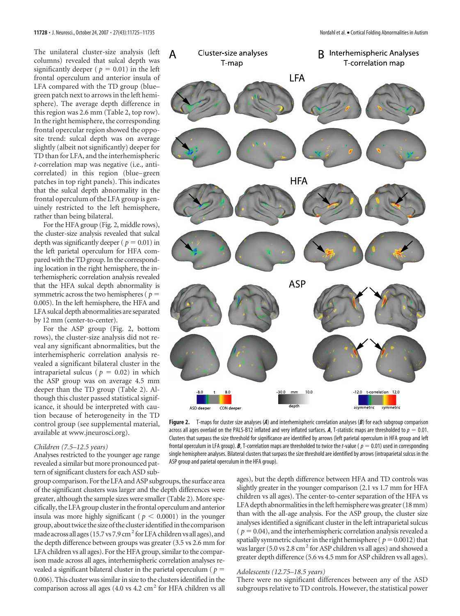The unilateral cluster-size analysis (left columns) revealed that sulcal depth was significantly deeper ( $p = 0.01$ ) in the left frontal operculum and anterior insula of LFA compared with the TD group (blue– green patch next to arrows in the left hemisphere). The average depth difference in this region was 2.6 mm (Table 2, top row). In the right hemisphere, the corresponding frontal opercular region showed the opposite trend: sulcal depth was on average slightly (albeit not significantly) deeper for TD than for LFA, and the interhemispheric *t*-correlation map was negative (i.e., anticorrelated) in this region (blue– green patches in top right panels). This indicates that the sulcal depth abnormality in the frontal operculum of the LFA group is genuinely restricted to the left hemisphere, rather than being bilateral.

For the HFA group (Fig. 2, middle rows), the cluster-size analysis revealed that sulcal depth was significantly deeper ( $p = 0.01$ ) in the left parietal operculum for HFA compared with the TD group. In the corresponding location in the right hemisphere, the interhemispheric correlation analysis revealed that the HFA sulcal depth abnormality is symmetric across the two hemispheres ( $p =$ 0.005). In the left hemisphere, the HFA and LFA sulcal depth abnormalities are separated by 12 mm (center-to-center).

For the ASP group (Fig. 2, bottom rows), the cluster-size analysis did not reveal any significant abnormalities, but the interhemispheric correlation analysis revealed a significant bilateral cluster in the intraparietal sulcus ( $p = 0.02$ ) in which the ASP group was on average 4.5 mm deeper than the TD group (Table 2). Although this cluster passed statistical significance, it should be interpreted with caution because of heterogeneity in the TD control group (see supplemental material, available at www.jneurosci.org).

## *Children (7.5–12.5 years)*

Analyses restricted to the younger age range revealed a similar but more pronounced pattern of significant clusters for each ASD sub-





**Figure 2.** T-maps for cluster size analyses (*A*) and interhemispheric correlation analyses (*B*) for each subgroup comparison across all ages overlaid on the PALS-B12 inflated and very inflated surfaces. A, T-statistic maps are thresholded to  $p = 0.01$ . Clusters that surpass the size threshold for significance are identified by arrows (left parietal operculum in HFA group and left frontal operculum in LFA group).  $\bm{B}$ , T-correlation maps are thresholded to twice the *t*-value (  $p=0.01$ ) used in corresponding single hemisphere analyses. Bilateral clusters that surpass the size threshold are identified by arrows (intraparietal sulcus in the ASP group and parietal operculum in the HFA group).

ages), but the depth difference between HFA and TD controls was slightly greater in the younger comparison (2.1 vs 1.7 mm for HFA children vs all ages). The center-to-center separation of the HFA vs LFA depth abnormalities in the left hemisphere was greater (18 mm) than with the all-age analysis. For the ASP group, the cluster size analyses identified a significant cluster in the left intraparietal sulcus  $(p = 0.04)$ , and the interhemispheric correlation analysis revealed a spatially symmetric cluster in the right hemisphere ( $p = 0.0012$ ) that was larger (5.0 vs  $2.8 \text{ cm}^2$  for ASP children vs all ages) and showed a greater depth difference (5.6 vs 4.5 mm for ASP children vs all ages).

## *Adolescents (12.75–18.5 years)*

There were no significant differences between any of the ASD subgroups relative to TD controls. However, the statistical power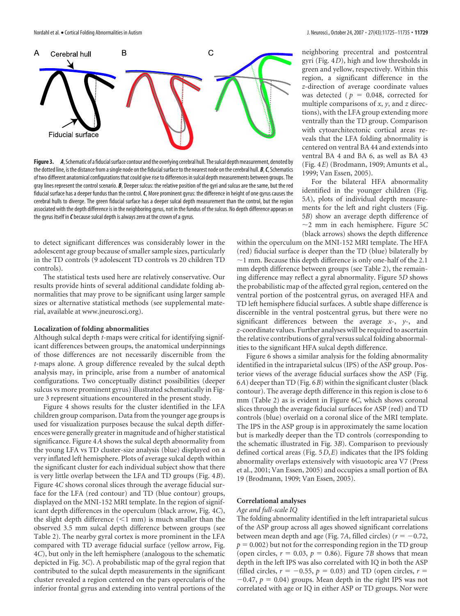

Figure 3. A, Schematic of a fiducial surface contour and the overlying cerebral hull. The sulcal depth measurement, denoted by the dotted line, isthe distance from asingle node onthe fiducialsurfacetothe nearest node onthe cerebral hull. *B*,*C*, Schematics of two different anatomical configurations that could give rise to differences insulcal depth measurements between groups. The gray lines represent the control scenario. *B*, Deeper sulcus: the relative position of the gyri and sulcus are the same, but the red fiducial surface has a deeper fundus than the control.*C*, More prominent gyrus: the difference in height of one gyrus causes the cerebral hulls to diverge. The green fiducial surface has a deeper sulcal depth measurement than the control, but the region associated with the depth difference is in the neighboring gyrus, not in the fundus of the sulcus. No depth difference appears on the gyrus itself in *C*because sulcal depth is always zero at the crown of a gyrus.

to detect significant differences was considerably lower in the adolescent age group because of smaller sample sizes, particularly in the TD controls (9 adolescent TD controls vs 20 children TD controls).

The statistical tests used here are relatively conservative. Our results provide hints of several additional candidate folding abnormalities that may prove to be significant using larger sample sizes or alternative statistical methods (see supplemental material, available at www.jneurosci.org).

#### **Localization of folding abnormalities**

Although sulcal depth *t*-maps were critical for identifying significant differences between groups, the anatomical underpinnings of those differences are not necessarily discernible from the *t*-maps alone. A group difference revealed by the sulcal depth analysis may, in principle, arise from a number of anatomical configurations. Two conceptually distinct possibilities (deeper sulcus vs more prominent gyrus) illustrated schematically in Figure 3 represent situations encountered in the present study.

Figure 4 shows results for the cluster identified in the LFA children group comparison. Data from the younger age groups is used for visualization purposes because the sulcal depth differences were generally greater in magnitude and of higher statistical significance. Figure 4*A* shows the sulcal depth abnormality from the young LFA vs TD cluster-size analysis (blue) displayed on a very inflated left hemisphere. Plots of average sulcal depth within the significant cluster for each individual subject show that there is very little overlap between the LFA and TD groups (Fig. 4*B*). Figure 4*C* shows coronal slices through the average fiducial surface for the LFA (red contour) and TD (blue contour) groups, displayed on the MNI-152 MRI template. In the region of significant depth differences in the operculum (black arrow, Fig. 4*C*), the slight depth difference  $(<1$  mm) is much smaller than the observed 3.5 mm sulcal depth difference between groups (see Table 2). The nearby gyral cortex is more prominent in the LFA compared with TD average fiducial surface (yellow arrow, Fig. 4*C*), but only in the left hemisphere (analogous to the schematic depicted in Fig. 3*C*). A probabilistic map of the gyral region that contributed to the sulcal depth measurements in the significant cluster revealed a region centered on the pars opercularis of the inferior frontal gyrus and extending into ventral portions of the

neighboring precentral and postcentral gyri (Fig. 4*D*), high and low thresholds in green and yellow, respectively. Within this region, a significant difference in the *z*-direction of average coordinate values was detected ( $p = 0.048$ , corrected for multiple comparisons of *x*, *y*, and *z* directions), with the LFA group extending more ventrally than the TD group. Comparison with cytoarchitectonic cortical areas reveals that the LFA folding abnormality is centered on ventral BA 44 and extends into ventral BA 4 and BA 6, as well as BA 43 (Fig. 4*E*) (Brodmann, 1909; Amunts et al., 1999; Van Essen, 2005).

For the bilateral HFA abnormality identified in the younger children (Fig. 5*A*), plots of individual depth measurements for the left and right clusters (Fig. 5*B*) show an average depth difference of 2 mm in each hemisphere. Figure 5*C* (black arrows) shows the depth difference

within the operculum on the MNI-152 MRI template. The HFA (red) fiducial surface is deeper than the TD (blue) bilaterally by  $\sim$ 1 mm. Because this depth difference is only one-half of the 2.1 mm depth difference between groups (see Table 2), the remaining difference may reflect a gyral abnormality. Figure 5*D* shows the probabilistic map of the affected gyral region, centered on the ventral portion of the postcentral gyrus, on averaged HFA and TD left hemisphere fiducial surfaces. A subtle shape difference is discernible in the ventral postcentral gyrus, but there were no significant differences between the average *x*-, *y*-, and *z*-coordinate values. Further analyses will be required to ascertain the relative contributions of gyral versus sulcal folding abnormalities to the significant HFA sulcal depth difference.

Figure 6 shows a similar analysis for the folding abnormality identified in the intraparietal sulcus (IPS) of the ASP group. Posterior views of the average fiducial surfaces show the ASP (Fig. 6*A*) deeper than TD (Fig. 6*B*) within the significant cluster (black contour). The average depth difference in this region is close to 6 mm (Table 2) as is evident in Figure 6*C*, which shows coronal slices through the average fiducial surfaces for ASP (red) and TD controls (blue) overlaid on a coronal slice of the MRI template. The IPS in the ASP group is in approximately the same location but is markedly deeper than the TD controls (corresponding to the schematic illustrated in Fig. 3*B*). Comparison to previously defined cortical areas (Fig. 5*D*,*E*) indicates that the IPS folding abnormality overlaps extensively with visuotopic area V7 (Press et al., 2001; Van Essen, 2005) and occupies a small portion of BA 19 (Brodmann, 1909; Van Essen, 2005).

# **Correlational analyses**

# *Age and full-scale IQ*

The folding abnormality identified in the left intraparietal sulcus of the ASP group across all ages showed significant correlations between mean depth and age (Fig. 7A, filled circles)  $(r = -0.72,$  $p = 0.002$ ) but not for the corresponding region in the TD group (open circles,  $r = 0.03$ ,  $p = 0.86$ ). Figure 7*B* shows that mean depth in the left IPS was also correlated with IQ in both the ASP (filled circles,  $r = -0.55$ ,  $p = 0.03$ ) and TD (open circles,  $r =$  $-0.47$ ,  $p = 0.04$ ) groups. Mean depth in the right IPS was not correlated with age or IQ in either ASP or TD groups. Nor were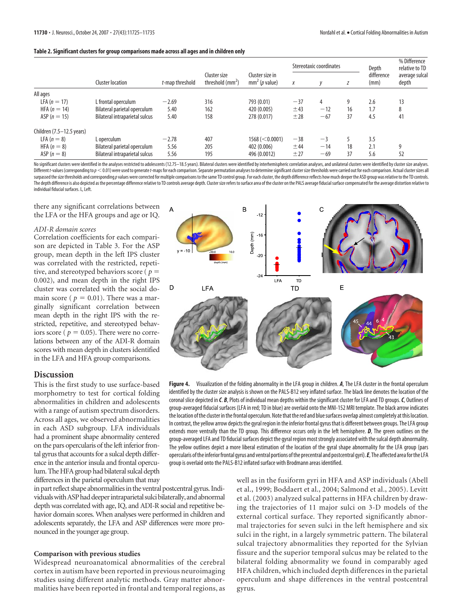#### **Table 2. Significant clusters for group comparisons made across all ages and in children only**

|                           | Cluster location                      | t-map threshold | Cluster size<br>threshold $\text{mm}^2$ ) | Cluster size in<br>$mm2$ ( <i>p</i> value) | Stereotaxic coordinates |       | Depth | % Difference<br>relative to TD |                         |
|---------------------------|---------------------------------------|-----------------|-------------------------------------------|--------------------------------------------|-------------------------|-------|-------|--------------------------------|-------------------------|
|                           |                                       |                 |                                           |                                            | X                       |       | Ζ     | difference<br>(mm)             | average sulcal<br>depth |
| All ages                  |                                       |                 |                                           |                                            |                         |       |       |                                |                         |
| $LFA (n = 17)$            | L frontal operculum                   | $-2.69$         | 316                                       | 793 (0.01)                                 | $-37$                   | 4     | 9     | 2.6                            | 13                      |
| HFA $(n=14)$              | Bilateral parietal operculum          | 5.40            | 162                                       | 420 (0.005)                                | ±43                     | $-12$ | 16    | 1.7                            | 8                       |
| ASP $(n = 15)$            | <b>Bilateral intraparietal sulcus</b> | 5.40            | 158                                       | 278 (0.017)                                | ±28                     | $-67$ | 37    | 4.5                            | 41                      |
| Children (7.5-12.5 years) |                                       |                 |                                           |                                            |                         |       |       |                                |                         |
| LFA $(n=8)$               | L operculum                           | $-2.78$         | 407                                       | 1568 (< 0.0001)                            | $-38$                   | $-3$  |       | 3.5                            |                         |
| HFA $(n=8)$               | Bilateral parietal operculum          | 5.56            | 205                                       | 402 (0.006)                                | ±44                     | $-14$ | 18    | 2.1                            | 9                       |
| ASP $(n=8)$               | <b>Bilateral intraparietal sulcus</b> | 5.56            | 195                                       | 496 (0.0012)                               | ±27                     | $-69$ | 37    | 5.6                            | 52                      |

No significant clusters were identified in the analyses restricted to adolescents (12.75–18.5 years). Bilateral clusters were identified by interhemispheric correlation analyses, and unilateral clusters were identified by Different t-values (corresponding to  $p < 0.01$ ) were used to generate t-maps for each comparison. Separate permutation analyses to determine significant cluster size thresholds were carried out for each comparison. Actual surpassed the size thresholds and corresponding p values were corrected for multiple comparisons to the same TD control group. For each cluster, the depth difference reflects how much deeper the ASD group was relative to t The depth difference is also depicted as the percentage difference relative to TD controls average depth. Cluster size refers to surface area of the cluster on the PALS average fiducial surface compensated for the average individual fiducial surfaces. L, Left.

there any significant correlations between the LFA or the HFA groups and age or IQ.

#### *ADI-R domain scores*

Correlation coefficients for each comparison are depicted in Table 3. For the ASP group, mean depth in the left IPS cluster was correlated with the restricted, repetitive, and stereotyped behaviors score ( $p =$ 0.002), and mean depth in the right IPS cluster was correlated with the social domain score ( $p = 0.01$ ). There was a marginally significant correlation between mean depth in the right IPS with the restricted, repetitive, and stereotyped behaviors score ( $p = 0.05$ ). There were no correlations between any of the ADI-R domain scores with mean depth in clusters identified in the LFA and HFA group comparisons.

## **Discussion**

This is the first study to use surface-based morphometry to test for cortical folding abnormalities in children and adolescents with a range of autism spectrum disorders. Across all ages, we observed abnormalities in each ASD subgroup. LFA individuals had a prominent shape abnormality centered on the pars opercularis of the left inferior frontal gyrus that accounts for a sulcal depth difference in the anterior insula and frontal operculum. The HFA group had bilateral sulcal depth differences in the parietal operculum that may

in part reflect shape abnormalities in the ventral postcentral gyrus. Individuals with ASP had deeper intraparietal sulci bilaterally, and abnormal depth was correlated with age, IQ, and ADI-R social and repetitive behavior domain scores. When analyses were performed in children and adolescents separately, the LFA and ASP differences were more pronounced in the younger age group.

## **Comparison with previous studies**

Widespread neuroanatomical abnormalities of the cerebral cortex in autism have been reported in previous neuroimaging studies using different analytic methods. Gray matter abnormalities have been reported in frontal and temporal regions, as



**Figure 4.** Visualization of the folding abnormality in the LFA group in children. *A*, The LFA cluster in the frontal operculum identified by the cluster size analysis is shown on the PALS-B12 very inflated surface. The black line denotes the location of the coronal slice depicted in *C*. *B*, Plots of individual mean depths within the significant cluster for LFA and TD groups.*C*, Outlines of group-averaged fiducial surfaces (LFA in red; TD in blue) are overlaid onto the MNI-152 MRI template. The black arrow indicates the location of the cluster in the frontal operculum. Note that the red and blue surfaces overlap almost completely at this location. In contrast, the yellow arrow depicts the gyral region in the inferior frontal gyrus that is different between groups. The LFA group extends more ventrally than the TD group. This difference occurs only in the left hemisphere. *D*, The green outlines on the group-averaged LFA and TD fiducial surfaces depict the gyral region most strongly associated with the sulcal depth abnormality. The yellow outlines depict a more liberal estimation of the location of the gyral shape abnormality for the LFA group (pars opercularis of the inferior frontal gyrus and ventral portions of the precentral and postcentral gyri). **E**, The affected area for the LFA group is overlaid onto the PALS-B12 inflated surface with Brodmann areas identified.

> well as in the fusiform gyri in HFA and ASP individuals (Abell et al., 1999; Boddaert et al., 2004; Salmond et al., 2005). Levitt et al. (2003) analyzed sulcal patterns in HFA children by drawing the trajectories of 11 major sulci on 3-D models of the external cortical surface. They reported significantly abnormal trajectories for seven sulci in the left hemisphere and six sulci in the right, in a largely symmetric pattern. The bilateral sulcal trajectory abnormalities they reported for the Sylvian fissure and the superior temporal sulcus may be related to the bilateral folding abnormality we found in comparably aged HFA children, which included depth differences in the parietal operculum and shape differences in the ventral postcentral gyrus.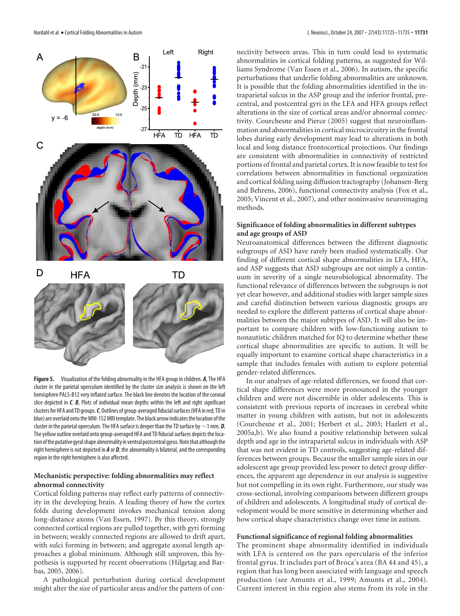

**Figure 5.** Visualization of the folding abnormality in the HFA group in children. *A*, The HFA cluster in the parietal operculum identified by the cluster size analysis is shown on the left hemisphere PALS-B12 very inflated surface. The black line denotes the location of the coronal slice depicted in *C*. *B*, Plots of individual mean depths within the left and right significant clusters for HFA and TD groups.*C*, Outlines of group-averaged fiducialsurfaces(HFA inred; TD in blue) are overlaid onto the MNI-152 MRI template. The black arrow indicates the location of the cluster in the parietal operculum. The HFA surface is deeper than the TD surface by  $\sim$  1 mm.  $D$ , The yellow outline overlaid onto group-averaged HFA and TD fiducial surfaces depicts the location of the putative gyral shape abnormality in ventral postcentral gyrus. Note that although the right hemisphere is not depicted in *A* or *D*, the abnormality is bilateral, and the corresponding region in the right hemisphere is also affected.

# **Mechanistic perspective: folding abnormalities may reflect abnormal connectivity**

Cortical folding patterns may reflect early patterns of connectivity in the developing brain. A leading theory of how the cortex folds during development invokes mechanical tension along long-distance axons (Van Essen, 1997). By this theory, strongly connected cortical regions are pulled together, with gyri forming in between; weakly connected regions are allowed to drift apart, with sulci forming in between; and aggregate axonal length approaches a global minimum. Although still unproven, this hypothesis is supported by recent observations (Hilgetag and Barbas, 2005, 2006).

A pathological perturbation during cortical development might alter the size of particular areas and/or the pattern of connectivity between areas. This in turn could lead to systematic abnormalities in cortical folding patterns, as suggested for Williams Syndrome (Van Essen et al., 2006). In autism, the specific perturbations that underlie folding abnormalities are unknown. It is possible that the folding abnormalities identified in the intraparietal sulcus in the ASP group and the inferior frontal, precentral, and postcentral gyri in the LFA and HFA groups reflect alterations in the size of cortical areas and/or abnormal connectivity. Courchesne and Pierce (2005) suggest that neuroinflammation and abnormalities in cortical microcircuitry in the frontal lobes during early development may lead to alterations in both local and long distance frontocortical projections. Our findings are consistent with abnormalities in connectivity of restricted portions of frontal and parietal cortex. It is now feasible to test for correlations between abnormalities in functional organization and cortical folding using diffusion tractography (Johansen-Berg and Behrens, 2006), functional connectivity analysis (Fox et al., 2005; Vincent et al., 2007), and other noninvasive neuroimaging methods.

# **Significance of folding abnormalities in different subtypes and age groups of ASD**

Neuroanatomical differences between the different diagnostic subgroups of ASD have rarely been studied systematically. Our finding of different cortical shape abnormalities in LFA, HFA, and ASP suggests that ASD subgroups are not simply a continuum in severity of a single neurobiological abnormality. The functional relevance of differences between the subgroups is not yet clear however, and additional studies with larger sample sizes and careful distinction between various diagnostic groups are needed to explore the different patterns of cortical shape abnormalities between the major subtypes of ASD. It will also be important to compare children with low-functioning autism to nonautistic children matched for IQ to determine whether these cortical shape abnormalities are specific to autism. It will be equally important to examine cortical shape characteristics in a sample that includes females with autism to explore potential gender-related differences.

In our analyses of age-related differences, we found that cortical shape differences were more pronounced in the younger children and were not discernible in older adolescents. This is consistent with previous reports of increases in cerebral white matter in young children with autism, but not in adolescents (Courchesne et al., 2001; Herbert et al., 2003; Hazlett et al., 2005a,b). We also found a positive relationship between sulcal depth and age in the intraparietal sulcus in individuals with ASP that was not evident in TD controls, suggesting age-related differences between groups. Because the smaller sample sizes in our adolescent age group provided less power to detect group differences, the apparent age dependence in our analysis is suggestive but not compelling in its own right. Furthermore, our study was cross-sectional, involving comparisons between different groups of children and adolescents. A longitudinal study of cortical development would be more sensitive in determining whether and how cortical shape characteristics change over time in autism.

## **Functional significance of regional folding abnormalities**

The prominent shape abnormality identified in individuals with LFA is centered on the pars opercularis of the inferior frontal gyrus. It includes part of Broca's area (BA 44 and 45), a region that has long been associated with language and speech production (see Amunts et al., 1999; Amunts et al., 2004). Current interest in this region also stems from its role in the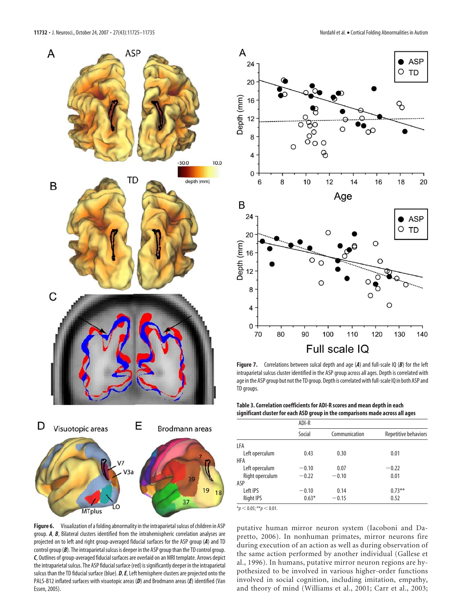ASP

A







**Figure 6.** Visualization of a folding abnormality in the intraparietal sulcus of children in ASP group. *A*, *B*, Bilateral clusters identified from the intrahemispheric correlation analyses are projected on to left and right group-averaged fiducial surfaces for the ASP group (*A*) and TD control group (B). The intraparietal sulcus is deeper in the ASP group than the TD control group. *C*, Outlines of group-averaged fiducial surfaces are overlaid on an MRI template. Arrows depict the intraparietal sulcus. The ASP fiducial surface (red) is significantly deeper in the intraparietal sulcus than the TD fiducial surface (blue). *D*,*E*, Left hemisphere clusters are projected onto the PALS-B12 inflated surfaces with visuotopic areas (*D*) and Brodmann areas (*E*) identified (Van Essen, 2005).



**Figure 7.** Correlations between sulcal depth and age (*A*) and full-scale IQ (*B*) for the left intraparietal sulcus cluster identified in the ASP group across all ages. Depth is correlated with age in the ASP group but not the TD group. Depth is correlated with full-scale IQ in both ASP and TD groups.

**Table 3. Correlation coefficients for ADI-R scores and mean depth in each significant cluster for each ASD group in the comparisons made across all ages**

|                         | ADI-R   |               |                      |  |  |  |
|-------------------------|---------|---------------|----------------------|--|--|--|
|                         | Social  | Communication | Repetitive behaviors |  |  |  |
| LFA                     |         |               |                      |  |  |  |
| Left operculum          | 0.43    | 0.30          | 0.01                 |  |  |  |
| HFA                     |         |               |                      |  |  |  |
| Left operculum          | $-0.10$ | 0.07          | $-0.22$              |  |  |  |
| Right operculum         | $-0.22$ | $-0.10$       | 0.01                 |  |  |  |
| ASP                     |         |               |                      |  |  |  |
| Left IPS                | $-0.10$ | 0.14          | $0.73***$            |  |  |  |
| <b>Right IPS</b>        | $0.63*$ | $-0.15$       | 0.52                 |  |  |  |
| $V = A A P V V = A A A$ |         |               |                      |  |  |  |

 $*_{p}$  < 0.05;  $*_{p}$  < 0.01.

putative human mirror neuron system (Iacoboni and Dapretto, 2006). In nonhuman primates, mirror neurons fire during execution of an action as well as during observation of the same action performed by another individual (Gallese et al., 1996). In humans, putative mirror neuron regions are hypothesized to be involved in various higher-order functions involved in social cognition, including imitation, empathy, and theory of mind (Williams et al., 2001; Carr et al., 2003;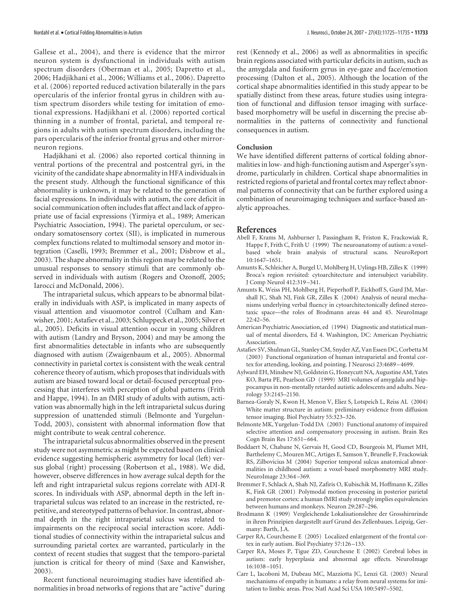Gallese et al., 2004), and there is evidence that the mirror neuron system is dysfunctional in individuals with autism spectrum disorders (Oberman et al., 2005; Dapretto et al., 2006; Hadjikhani et al., 2006; Williams et al., 2006). Dapretto et al. (2006) reported reduced activation bilaterally in the pars opercularis of the inferior frontal gyrus in children with autism spectrum disorders while testing for imitation of emotional expressions. Hadjikhani et al. (2006) reported cortical thinning in a number of frontal, parietal, and temporal regions in adults with autism spectrum disorders, including the pars opercularis of the inferior frontal gyrus and other mirrorneuron regions.

Hadjikhani et al. (2006) also reported cortical thinning in ventral portions of the precentral and postcentral gyri, in the vicinity of the candidate shape abnormality in HFA individuals in the present study. Although the functional significance of this abnormality is unknown, it may be related to the generation of facial expressions. In individuals with autism, the core deficit in social communication often includes flat affect and lack of appropriate use of facial expressions (Yirmiya et al., 1989; American Psychiatric Association, 1994). The parietal operculum, or secondary somatosensory cortex (SII), is implicated in numerous complex functions related to multimodal sensory and motor integration (Caselli, 1993; Bremmer et al., 2001; Disbrow et al., 2003). The shape abnormality in this region may be related to the unusual responses to sensory stimuli that are commonly observed in individuals with autism (Rogers and Ozonoff, 2005; Iarocci and McDonald, 2006).

The intraparietal sulcus, which appears to be abnormal bilaterally in individuals with ASP, is implicated in many aspects of visual attention and visuomotor control (Culham and Kanwisher, 2001; Astafiev et al., 2003; Schluppeck et al., 2005; Silver et al., 2005). Deficits in visual attention occur in young children with autism (Landry and Bryson, 2004) and may be among the first abnormalities detectable in infants who are subsequently diagnosed with autism (Zwaigenbaum et al., 2005). Abnormal connectivity in parietal cortex is consistent with the weak central coherence theory of autism, which proposes that individuals with autism are biased toward local or detail-focused perceptual processing that interferes with perception of global patterns (Frith and Happe, 1994). In an fMRI study of adults with autism, activation was abnormally high in the left intraparietal sulcus during suppression of unattended stimuli (Belmonte and Yurgelun-Todd, 2003), consistent with abnormal information flow that might contribute to weak central coherence.

The intraparietal sulcus abnormalities observed in the present study were not asymmetric as might be expected based on clinical evidence suggesting hemispheric asymmetry for local (left) versus global (right) processing (Robertson et al., 1988). We did, however, observe differences in how average sulcal depth for the left and right intraparietal sulcus regions correlate with ADI-R scores. In individuals with ASP, abnormal depth in the left intraparietal sulcus was related to an increase in the restricted, repetitive, and stereotyped patterns of behavior. In contrast, abnormal depth in the right intraparietal sulcus was related to impairments on the reciprocal social interaction score. Additional studies of connectivity within the intraparietal sulcus and surrounding parietal cortex are warranted, particularly in the context of recent studies that suggest that the temporo-parietal junction is critical for theory of mind (Saxe and Kanwisher, 2003).

Recent functional neuroimaging studies have identified abnormalities in broad networks of regions that are "active" during rest (Kennedy et al., 2006) as well as abnormalities in specific brain regions associated with particular deficits in autism, such as the amygdala and fusiform gyrus in eye-gaze and face/emotion processing (Dalton et al., 2005). Although the location of the cortical shape abnormalities identified in this study appear to be spatially distinct from these areas, future studies using integration of functional and diffusion tensor imaging with surfacebased morphometry will be useful in discerning the precise abnormalities in the patterns of connectivity and functional consequences in autism.

### **Conclusion**

We have identified different patterns of cortical folding abnormalities in low- and high-functioning autism and Asperger's syndrome, particularly in children. Cortical shape abnormalities in restricted regions of parietal and frontal cortex may reflect abnormal patterns of connectivity that can be further explored using a combination of neuroimaging techniques and surface-based analytic approaches.

## **References**

- Abell F, Krams M, Ashburner J, Passingham R, Friston K, Frackowiak R, Happe F, Frith C, Frith U (1999) The neuroanatomy of autism: a voxelbased whole brain analysis of structural scans. NeuroReport 10:1647–1651.
- Amunts K, Schleicher A, Burgel U, Mohlberg H, Uylings HB, Zilles K (1999) Broca's region revisited: cytoarchitecture and intersubject variability. J Comp Neurol 412:319 –341.
- Amunts K, Weiss PH, Mohlberg H, Pieperhoff P, Eickhoff S, Gurd JM, Marshall JC, Shah NJ, Fink GR, Zilles K (2004) Analysis of neural mechanisms underlying verbal fluency in cytoarchitectonically defined stereotaxic space—the roles of Brodmann areas 44 and 45. NeuroImage 22:42–56.
- American Psychiatric Association, ed (1994) Diagnostic and statistical manual of mental disorders, Ed 4. Washington, DC: American Psychiatric Association.
- Astafiev SV, Shulman GL, Stanley CM, Snyder AZ, Van Essen DC, Corbetta M (2003) Functional organization of human intraparietal and frontal cortex for attending, looking, and pointing. J Neurosci 23:4689 –4699.
- Aylward EH, Minshew NJ, Goldstein G, Honeycutt NA, Augustine AM, Yates KO, Barta PE, Pearlson GD (1999) MRI volumes of amygdala and hippocampus in non-mentally retarded autistic adolescents and adults. Neurology 53:2145–2150.
- Barnea-Goraly N, Kwon H, Menon V, Eliez S, Lotspeich L, Reiss AL (2004) White matter structure in autism: preliminary evidence from diffusion tensor imaging. Biol Psychiatry 55:323–326.
- Belmonte MK, Yurgelun-Todd DA (2003) Functional anatomy of impaired selective attention and compensatory processing in autism. Brain Res Cogn Brain Res 17:651–664.
- Boddaert N, Chabane N, Gervais H, Good CD, Bourgeois M, Plumet MH, Barthelemy C, Mouren MC, Artiges E, Samson Y, Brunelle F, Frackowiak RS, Zilbovicius M (2004) Superior temporal sulcus anatomical abnormalities in childhood autism: a voxel-based morphometry MRI study. NeuroImage 23:364 –369.
- Bremmer F, Schlack A, Shah NJ, Zafiris O, Kubischik M, Hoffmann K, Zilles K, Fink GR (2001) Polymodal motion processing in posterior parietal and premotor cortex: a human fMRI study strongly implies equivalencies between humans and monkeys. Neuron 29:287–296.
- Brodmann K (1909) Vergleichende Lokalisationslehre der Grosshirnrinde in ihren Prinzipien dargestellt aurf Grund des Zellenbaues. Leipzig, Germany: Barth, J.A.
- Carper RA, Courchesne E (2005) Localized enlargement of the frontal cortex in early autism. Biol Psychiatry 57:126 –133.
- Carper RA, Moses P, Tigue ZD, Courchesne E (2002) Cerebral lobes in autism: early hyperplasia and abnormal age effects. NeuroImage 16:1038 –1051.
- Carr L, Iacoboni M, Dubeau MC, Mazziotta JC, Lenzi GL (2003) Neural mechanisms of empathy in humans: a relay from neural systems for imitation to limbic areas. Proc Natl Acad Sci USA 100:5497–5502.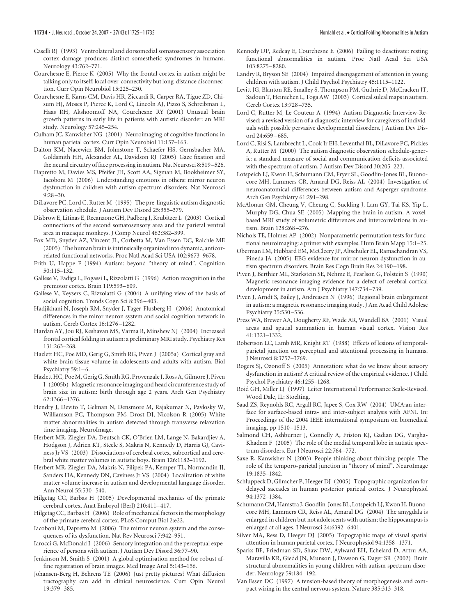- Caselli RJ (1993) Ventrolateral and dorsomedial somatosensory association cortex damage produces distinct somesthetic syndromes in humans. Neurology 43:762–771.
- Courchesne E, Pierce K (2005) Why the frontal cortex in autism might be talking only to itself: local over-connectivity but long-distance disconnection. Curr Opin Neurobiol 15:225–230.
- Courchesne E, Karns CM, Davis HR, Ziccardi R, Carper RA, Tigue ZD, Chisum HJ, Moses P, Pierce K, Lord C, Lincoln AJ, Pizzo S, Schreibman L, Haas RH, Akshoomoff NA, Courchesne RY (2001) Unusual brain growth patterns in early life in patients with autistic disorder: an MRI study. Neurology 57:245–254.
- Culham JC, Kanwisher NG (2001) Neuroimaging of cognitive functions in human parietal cortex. Curr Opin Neurobiol 11:157–163.
- Dalton KM, Nacewicz BM, Johnstone T, Schaefer HS, Gernsbacher MA, Goldsmith HH, Alexander AL, Davidson RJ (2005) Gaze fixation and the neural circuitry of face processing in autism. Nat Neurosci 8:519 –526.
- Dapretto M, Davies MS, Pfeifer JH, Scott AA, Sigman M, Bookheimer SY, Iacoboni M (2006) Understanding emotions in others: mirror neuron dysfunction in children with autism spectrum disorders. Nat Neurosci 9:28 –30.
- DiLavore PC, Lord C, Rutter M (1995) The pre-linguistic autism diagnostic observation schedule. J Autism Dev Disord 25:355–379.
- Disbrow E, Litinas E, Recanzone GH, Padberg J, Krubitzer L (2003) Cortical connections of the second somatosensory area and the parietal ventral area in macaque monkeys. J Comp Neurol 462:382–399.
- Fox MD, Snyder AZ, Vincent JL, Corbetta M, Van Essen DC, Raichle ME (2005) The human brain is intrinsically organized into dynamic, anticorrelated functional networks. Proc Natl Acad Sci USA 102:9673–9678.
- Frith U, Happe F (1994) Autism: beyond "theory of mind". Cognition 50:115–132.
- Gallese V, Fadiga L, Fogassi L, Rizzolatti G (1996) Action recognition in the premotor cortex. Brain 119:593–609.
- Gallese V, Keysers C, Rizzolatti G (2004) A unifying view of the basis of social cognition. Trends Cogn Sci 8:396 –403.
- Hadjikhani N, Joseph RM, Snyder J, Tager-Flusberg H (2006) Anatomical differences in the miror neuron system and social cognition network in autism. Cereb Cortex 16:1276 –1282.
- Hardan AY, Jou RJ, Keshavan MS, Varma R, Minshew NJ (2004) Increased frontal cortical folding in autism: a preliminary MRI study. Psychiatry Res 131:263–268.
- Hazlett HC, Poe MD, Gerig G, Smith RG, Piven J (2005a) Cortical gray and white brain tissue volume in adolescents and adults with autism. Biol Psychiatry 59:1–6.
- Hazlett HC, Poe M, Gerig G, Smith RG, Provenzale J, Ross A, Gilmore J, Piven J (2005b) Magnetic resonance imaging and head circumference study of brain size in autism: birth through age 2 years. Arch Gen Psychiatry 62:1366 –1376.
- Hendry J, Devito T, Gelman N, Densmore M, Rajakumar N, Pavlosky W, Williamson PC, Thompson PM, Drost DJ, Nicolson R (2005) White matter abnormalities in autism detected through transverse relaxation time imaging. NeuroImage.
- Herbert MR, Ziegler DA, Deutsch CK, O'Brien LM, Lange N, Bakardjiev A, Hodgson J, Adrien KT, Steele S, Makris N, Kennedy D, Harris GJ, Caviness Jr VS (2003) Dissociations of cerebral cortex, subcortical and cerebral white matter volumes in autistic boys. Brain 126:1182–1192.
- Herbert MR, Ziegler DA, Makris N, Filipek PA, Kemper TL, Normandin JJ, Sanders HA, Kennedy DN, Caviness Jr VS (2004) Localization of white matter volume increase in autism and developmental language disorder. Ann Neurol 55:530 –540.
- Hilgetag CC, Barbas H (2005) Developmental mechanics of the primate cerebral cortex. Anat Embryol (Berl) 210:411–417.
- Hilgetag CC, Barbas H (2006) Role of mechanical factors in the morphology of the primate cerebral cortex. PLoS Comput Biol 2:e22.
- Iacoboni M, Dapretto M (2006) The mirror neuron system and the consequences of its dysfunction. Nat Rev Neurosci 7:942–951.
- Iarocci G, McDonald J (2006) Sensory integration and the perceptual experience of persons with autism. J Autism Dev Disord 36:77–90.
- Jenkinson M, Smith S (2001) A global optimisation method for robust affine registration of brain images. Med Image Anal 5:143–156.
- Johansen-Berg H, Behrens TE (2006) Just pretty pictures? What diffusion tractography can add in clinical neuroscience. Curr Opin Neurol 19:379 –385.
- Kennedy DP, Redcay E, Courchesne E (2006) Failing to deactivate: resting functional abnormalities in autism. Proc Natl Acad Sci USA 103:8275–8280.
- Landry R, Bryson SE (2004) Impaired disengagement of attention in young children with autism. J Child Psychol Psychiatry 45:1115–1122.
- Levitt JG, Blanton RE, Smalley S, Thompson PM, Guthrie D, McCracken JT, Sadoun T, Heinichen L, Toga AW (2003) Cortical sulcal maps in autism. Cereb Cortex 13:728 –735.
- Lord C, Rutter M, Le Couteur A (1994) Autism Diagnostic Interview-Revised: a revised version of a diagnostic interview for caregivers of individuals with possible pervasive developmental disorders. J Autism Dev Disord 24:659 –685.
- Lord C, Risi S, Lambrecht L, Cook Jr EH, Leventhal BL, DiLavore PC, Pickles A, Rutter M (2000) The autism diagnostic observation schedule-generic: a standard measure of social and communication deficits associated with the spectrum of autism. J Autism Dev Disord 30:205–223.
- Lotspeich LJ, Kwon H, Schumann CM, Fryer SL, Goodlin-Jones BL, Buonocore MH, Lammers CR, Amaral DG, Reiss AL (2004) Investigation of neuroanatomical differences between autism and Asperger syndrome. Arch Gen Psychiatry 61:291–298.
- McAlonan GM, Cheung V, Cheung C, Suckling J, Lam GY, Tai KS, Yip L, Murphy DG, Chua SE (2005) Mapping the brain in autism. A voxelbased MRI study of volumetric differences and intercorrelations in autism. Brain 128:268 –276.
- Nichols TE, Holmes AP (2002) Nonparametric permutation tests for functional neuroimaging: a primer with examples. Hum Brain Mapp 15:1–25.
- Oberman LM, Hubbard EM, McCleery JP, Altschuler EL, Ramachandran VS, Pineda JA (2005) EEG evidence for mirror neuron dysfunction in autism spectrum disorders. Brain Res Cogn Brain Res 24:190 –198.
- Piven J, Berthier ML, Starkstein SE, Nehme E, Pearlson G, Folstein S (1990) Magnetic resonance imaging evidence for a defect of cerebral cortical development in autism. Am J Psychiatry 147:734 –739.
- Piven J, Arndt S, Bailey J, Andreasen N (1996) Regional brain enlargement in autism: a magnetic resonance imaging study. J Am Acad Child Adolesc Psychiatry 35:530 –536.
- Press WA, Brewer AA, Dougherty RF, Wade AR, Wandell BA (2001) Visual areas and spatial summation in human visual cortex. Vision Res 41:1321–1332.
- Robertson LC, Lamb MR, Knight RT (1988) Effects of lesions of temporalparietal junction on perceptual and attentional processing in humans. J Neurosci 8:3757–3769.
- Rogers SJ, Ozonoff S (2005) Annotation: what do we know about sensory dysfunction in autism? A critical review of the empirical evidence. J Child Psychol Psychiatry 46:1255–1268.
- Roid GH, Miller LJ (1997) Leiter International Performance Scale-Revised. Wood Dale, IL: Stoelting.
- Saad ZS, Reynolds RC, Argall RC, Japee S, Cox RW (2004) UMA:an interface for surface-based intra- and inter-subject analysis with AFNI. In: Proceedings of the 2004 IEEE international symposium on biomedical imaging, pp 1510 –1513.
- Salmond CH, Ashburner J, Connelly A, Friston KJ, Gadian DG, Vargha-Khadem F (2005) The role of the medial temporal lobe in autistic spectrum disorders. Eur J Neurosci 22:764 –772.
- Saxe R, Kanwisher N (2003) People thinking about thinking people. The role of the temporo-parietal junction in "theory of mind". NeuroImage 19:1835–1842.
- Schluppeck D, Glimcher P, Heeger DJ (2005) Topographic organization for delayed saccades in human posterior parietal cortex. J Neurophysiol 94:1372–1384.
- Schumann CM, Hamstra J, Goodlin-Jones BL, Lotspeich LJ, Kwon H, Buonocore MH, Lammers CR, Reiss AL, Amaral DG (2004) The amygdala is enlarged in children but not adolescents with autism; the hippocampus is enlarged at all ages. J Neurosci 24:6392–6401.
- Silver MA, Ress D, Heeger DJ (2005) Topographic maps of visual spatial attention in human parietal cortex. J Neurophysiol 94:1358 –1371.
- Sparks BF, Friedman SD, Shaw DW, Aylward EH, Echelard D, Artru AA, Maravilla KR, Giedd JN, Munson J, Dawson G, Dager SR (2002) Brain structural abnormalities in young children with autism spectrum disorder. Neurology 59:184 –192.
- Van Essen DC (1997) A tension-based theory of morphogenesis and compact wiring in the central nervous system. Nature 385:313–318.